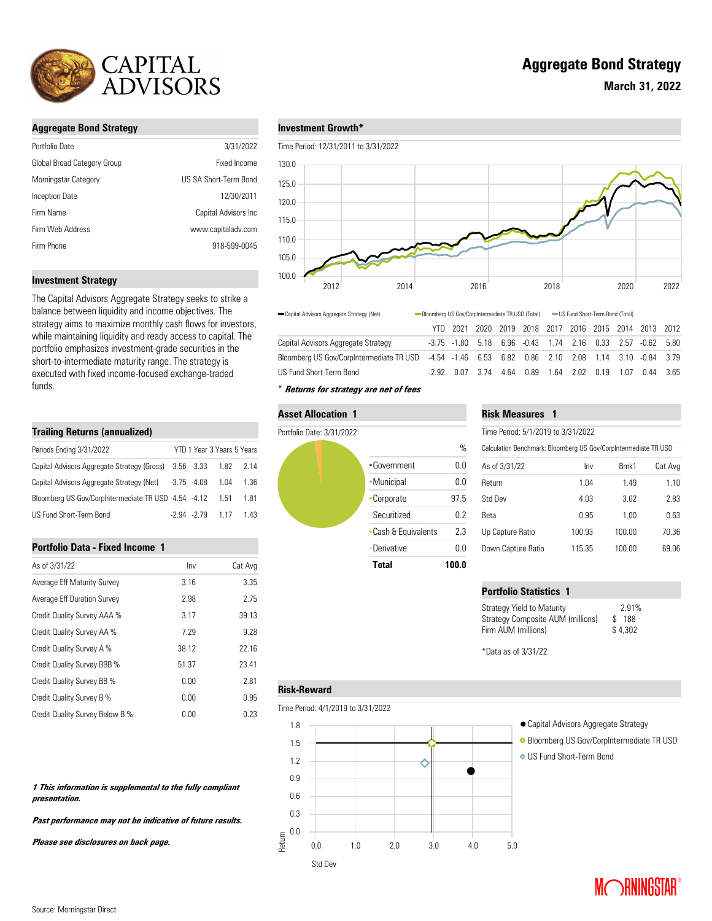

# **Aggregate Bond Strategy**

| Portfolio Date              | 3/31/2022             |
|-----------------------------|-----------------------|
| Global Broad Category Group | Fixed Income          |
| Morningstar Category        | US SA Short-Term Bond |
| <b>Inception Date</b>       | 12/30/2011            |
| Firm Name                   | Capital Advisors Inc. |
| Firm Web Address            | www.capitaladv.com    |
| Firm Phone                  | 918-599-0045          |
|                             |                       |

## **Investment Strategy**

The Capital Advisors Aggregate Strategy seeks to strike a balance between liquidity and income objectives. The strategy aims to maximize monthly cash flows for investors, while maintaining liquidity and ready access to capital. The portfolio emphasizes investment-grade securities in the short-to-intermediate maturity range. The strategy is executed with fixed income-focused exchange-traded funds.

# **Trailing Returns (annualized)**

| Periods Ending 3/31/2022                                          |  | YTD 1 Year 3 Years 5 Years |       |
|-------------------------------------------------------------------|--|----------------------------|-------|
| Capital Advisors Aggregate Strategy (Gross) -3.56 -3.33 1.82 2.14 |  |                            |       |
| Capital Advisors Aggregate Strategy (Net) -3.75 -4.08             |  | 1.04                       | 1.36  |
| Bloomberg US Gov/CorpIntermediate TR USD -4.54 -4.12              |  | 1.51                       | 181   |
| US Fund Short-Term Bond                                           |  | $-294 - 279$ 117           | 1 4 3 |

### **Portfolio Data - Fixed Income 1**

| As of 3/31/22                   | Inv   | Cat Avg |
|---------------------------------|-------|---------|
| Average Eff Maturity Survey     | 3.16  | 3.35    |
| Average Eff Duration Survey     | 2.98  | 2.75    |
| Credit Quality Survey AAA %     | 3.17  | 39.13   |
| Credit Quality Survey AA %      | 7.29  | 9.28    |
| Credit Quality Survey A %       | 38.12 | 22.16   |
| Credit Quality Survey BBB %     | 51.37 | 23.41   |
| Credit Quality Survey BB %      | 0.00  | 2.81    |
| Credit Quality Survey B %       | 0.00  | 0.95    |
| Credit Quality Survey Below B % | 0.00  | 0.23    |

### **1 This information is supplemental to the fully compliant presentation.**

**Past performance may not be indicative of future results.** 

**Please see disclosures on back page.**

## **Investment Growth\***

Time Period: 12/31/2011 to 3/31/2022



|                                                                                                               | - US Fund Short-Term Bond (Total) |  |  |
|---------------------------------------------------------------------------------------------------------------|-----------------------------------|--|--|
| YTD 2021 2020 2019 2018 2017 2016 2015 2014 2013 2012                                                         |                                   |  |  |
| Capital Advisors Aggregate Strategy<br>-3.75 -1.80 5.18 6.96 -0.43 1.74 2.16 0.33 2.57 -0.62 5.80             |                                   |  |  |
| Bloomberg US Gov/CorpIntermediate TR USD  -4.54  -1.46  6.53  6.82  0.86  2.10  2.08  1.14  3.10  -0.84  3.79 |                                   |  |  |
| US Fund Short-Term Bond<br>-2.92  0.07  3.74  4.64  0.89  1.64  2.02  0.19  1.07  0.44  3.65                  |                                   |  |  |

\* **Returns for strategy are net of fees**

#### **Asset Allocation 1**



# **Risk Measures 1**

| Time Period: 5/1/2019 to 3/31/2022                              |        |                 |         |  |  |
|-----------------------------------------------------------------|--------|-----------------|---------|--|--|
| Calculation Benchmark: Bloomberg US Gov/CorpIntermediate TR USD |        |                 |         |  |  |
| As of 3/31/22                                                   | Inv    | Bmk1            | Cat Avg |  |  |
| Return                                                          | 1.04   | 149             | 1.10    |  |  |
| Std Dev                                                         | 4.03   | 3.02            | 2.83    |  |  |
| Reta                                                            | 0.95   | 1 <sub>00</sub> | 0.63    |  |  |
| Up Capture Ratio                                                | 100.93 | 100.00          | 70.36   |  |  |
| Down Capture Ratio                                              | 115.35 | 100.00          | 69 06   |  |  |

# **Portfolio Statistics 1**

| <b>Strategy Yield to Maturity</b> | 2.91%   |
|-----------------------------------|---------|
| Strategy Composite AUM (millions) | \$188   |
| Firm AUM (millions)               | \$4.302 |
|                                   |         |

\*Data as of 3/31/22

# **Risk-Reward**

Time Period: 4/1/2019 to 3/31/2022



- 
- Bloomberg US Gov/CorpIntermediate TR USD
- US Fund Short-Term Bond

**March 31, 2022**